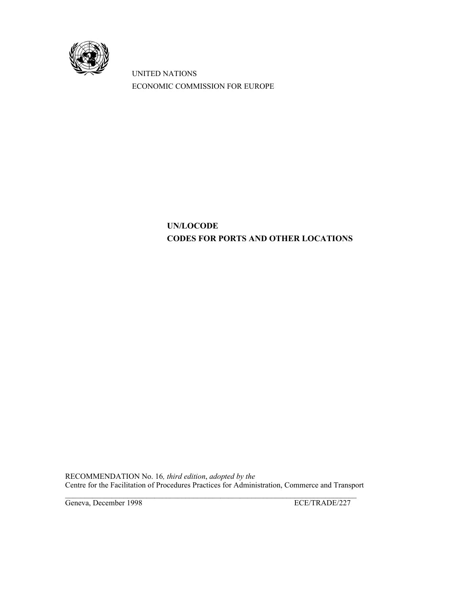

 UNITED NATIONS ECONOMIC COMMISSION FOR EUROPE

# **UN/LOCODE CODES FOR PORTS AND OTHER LOCATIONS**

RECOMMENDATION No. 16*, third edition*, *adopted by the* Centre for the Facilitation of Procedures Practices for Administration, Commerce and Transport

Geneva, December 1998 ECE/TRADE/227

 $\mathcal{L}_\mathcal{L} = \{ \mathcal{L}_\mathcal{L} = \{ \mathcal{L}_\mathcal{L} = \{ \mathcal{L}_\mathcal{L} = \{ \mathcal{L}_\mathcal{L} = \{ \mathcal{L}_\mathcal{L} = \{ \mathcal{L}_\mathcal{L} = \{ \mathcal{L}_\mathcal{L} = \{ \mathcal{L}_\mathcal{L} = \{ \mathcal{L}_\mathcal{L} = \{ \mathcal{L}_\mathcal{L} = \{ \mathcal{L}_\mathcal{L} = \{ \mathcal{L}_\mathcal{L} = \{ \mathcal{L}_\mathcal{L} = \{ \mathcal{L}_\mathcal{$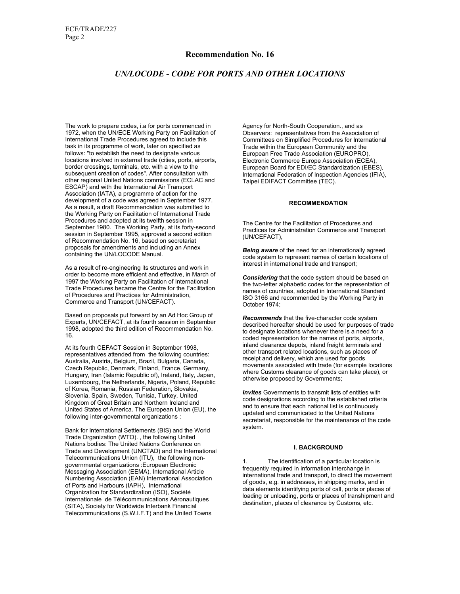# **Recommendation No. 16**

# *UN/LOCODE - CODE FOR PORTS AND OTHER LOCATIONS*

The work to prepare codes, i.a for ports commenced in 1972, when the UN/ECE Working Party on Facilitation of International Trade Procedures agreed to include this task in its programme of work, later on specified as follows: "to establish the need to designate various locations involved in external trade (cities, ports, airports, border crossings, terminals, etc. with a view to the subsequent creation of codes". After consultation with other regional United Nations commissions (ECLAC and ESCAP) and with the International Air Transport Association (IATA), a programme of action for the development of a code was agreed in September 1977. As a result, a draft Recommendation was submitted to the Working Party on Facilitation of International Trade Procedures and adopted at its twelfth session in September 1980. The Working Party, at its forty-second session in September 1995, approved a second edition of Recommendation No. 16, based on secretariat proposals for amendments and including an Annex containing the UN/LOCODE Manual.

As a result of re-engineering its structures and work in order to become more efficient and effective, in March of 1997 the Working Party on Facilitation of International Trade Procedures became the Centre for the Facilitation of Procedures and Practices for Administration, Commerce and Transport (UN/CEFACT).

Based on proposals put forward by an Ad Hoc Group of Experts, UN/CEFACT, at its fourth session in September 1998, adopted the third edition of Recommendation No. 16.

At its fourth CEFACT Session in September 1998, representatives attended from the following countries: Australia, Austria, Belgium, Brazil, Bulgaria, Canada, Czech Republic, Denmark, Finland, France, Germany, Hungary, Iran (Islamic Republic of), Ireland, Italy, Japan, Luxembourg, the Netherlands, Nigeria, Poland, Republic of Korea, Romania, Russian Federation, Slovakia, Slovenia, Spain, Sweden, Tunisia, Turkey, United Kingdom of Great Britain and Northern Ireland and United States of America. The European Union (EU), the following inter-governmental organizations :

Bank for International Settlements (BIS) and the World Trade Organization (WTO). , the following United Nations bodies: The United Nations Conference on Trade and Development (UNCTAD) and the International Telecommunications Union (ITU), the following nongovernmental organizations :European Electronic Messaging Association (EEMA), International Article Numbering Association (EAN) International Association of Ports and Harbours (IAPH), International Organization for Standardization (ISO), Société Internationale de Télécommunications Aéronautiques (SITA), Society for Worldwide Interbank Financial Telecommunications (S.W.I.F.T) and the United Towns

Agency for North-South Cooperation., and as Observers: representatives from the Association of Committees on Simplified Procedures for International Trade within the European Community and the European Free Trade Association (EUROPRO). Electronic Commerce Europe Association (ECEA), European Board for EDI/EC Standardization (EBES), International Federation of Inspection Agencies (IFIA), Taipei EDIFACT Committee (TEC).

#### **RECOMMENDATION**

The Centre for the Facilitation of Procedures and Practices for Administration Commerce and Transport (UN/CEFACT),

*Being aware* of the need for an intemationally agreed code system to represent names of certain locations of interest in international trade and transport;

*Considering* that the code system should be based on the two-letter alphabetic codes for the representation of names of countries, adopted in International Standard ISO 3166 and recommended by the Working Party in October 1974;

*Recommends* that the five-character code system described hereafter should be used for purposes of trade to designate locations whenever there is a need for a coded representation for the names of ports, airports, inland clearance depots, inland freight terminals and other transport related locations, such as places of receipt and delivery, which are used for goods movements associated with trade (for example locations where Customs clearance of goods can take place), or otherwise proposed by Governments;

*Invites* Governments to transmit lists of entities with code designations according to the established criteria and to ensure that each national list is continuously updated and communicated to the United Nations secretariat, responsible for the maintenance of the code system.

## **I. BACKGROUND**

The identification of a particular location is frequently required in information interchange in international trade and transport, to direct the movement of goods, e.g. in addresses, in shipping marks, and in data elements identifying ports of call, ports or places of loading or unloading, ports or places of transhipment and destination, places of clearance by Customs, etc.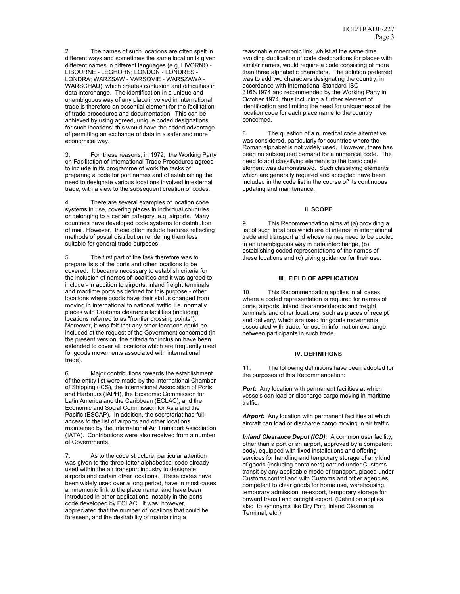The names of such locations are often spelt in different ways and sometimes the same location is given different names in different languages (e.g. LIVORNO - LIBOURNE - LEGHORN; LONDON - LONDRES - LONDRA; WARZSAW - VARSOVIE - WARSZAWA - WARSCHAU), which creates confusion and difficulties in data interchange. The identification in a unique and unambiguous way of any place involved in international trade is therefore an essential element for the facilitation of trade procedures and documentation. This can be achieved by using agreed, unique coded designations for such locations; this would have the added advantage of permitting an exchange of data in a safer and more economical way.

3. For these reasons, in 1972, the Working Party on Facilitation of International Trade Procedures agreed to include in its programme of work the tasks of preparing a code for port names and of establishing the need to designate various locations involved in external trade, with a view to the subsequent creation of codes.

4. There are several examples of location code systems in use, covering places in individual countries, or belonging to a certain category, e.g. airports. Many countries have developed code systems for distribution of mail. However, these often include features reflecting methods of postal distribution rendering them less suitable for general trade purposes.

5. The first part of the task therefore was to prepare lists of the ports and other locations to be covered. It became necessary to establish criteria for the inclusion of names of localities and it was agreed to include - in addition to airports, inland freight terminals and maritime ports as defined for this purpose - other locations where goods have their status changed from moving in international to national traffic, i.e. normally places with Customs clearance facilities (including locations referred to as "frontier crossing points"). Moreover, it was felt that any other locations could be included at the request of the Government concerned (in the present version, the criteria for inclusion have been extended to cover all locations which are frequently used for goods movements associated with international trade).

6. Major contributions towards the establishment of the entity list were made by the International Chamber of Shipping (ICS), the International Association of Ports and Harbours (IAPH), the Economic Commission for Latin America and the Caribbean (ECLAC), and the Economic and Social Commission for Asia and the Pacific (ESCAP). In addition, the secretariat had fullaccess to the list of airports and other locations maintained by the International Air Transport Association (IATA). Contributions were also received from a number of Governments.

7. As to the code structure, particular attention was given to the three-letter alphabetical code already used within the air transport industry to designate airports and certain other locations. These codes have been widely used over a long period, have in most cases a mnemonic link to the place name, and have been introduced in other applications, notably in the ports code developed by ECLAC. It was, however, appreciated that the number of locations that could be foreseen, and the desirability of maintaining a

reasonable mnemonic link, whilst at the same time avoiding duplication of code designations for places with similar names, would require a code consisting of more than three alphabetic characters. The solution preferred was to add two characters designating the country, in accordance with International Standard ISO 3166/1974 and recommended by the Working Party in October 1974, thus including a further element of identification and limiting the need for uniqueness of the location code for each place name to the country concerned.

8. The question of a numerical code alternative was considered, particularly for countries where the Roman alphabet is not widely used. However, there has been no subsequent demand for a numerical code. The need to add classifying elements to the basic code element was demonstrated. Such classifying elements which are generally required and accepted have been included in the code list in the course of' its continuous updating and maintenance.

#### **II. SCOPE**

9. This Recommendation aims at (a) providing a list of such locations which are of interest in international trade and transport and whose names need to be quoted in an unambiguous way in data interchange, (b) establishing coded representations of the names of these locations and (c) giving guidance for their use.

#### **III. FIELD OF APPLICATION**

10. This Recommendation applies in all cases where a coded representation is required for names of ports, airports, inland clearance depots and freight terminals and other locations, such as places of receipt and delivery, which are used for goods movements associated with trade, for use in information exchange between participants in such trade.

#### **IV. DEFINITIONS**

11. The following definitions have been adopted for the purposes of this Recommendation:

**Port:** Any location with permanent facilities at which vessels can load or discharge cargo moving in maritime traffic.

*Airport:* Any location with permanent facilities at which aircraft can load or discharge cargo moving in air traffic.

*Inland Clearance Depot (ICD):* A common user facility, other than a port or an airport, approved by a competent body, equipped with fixed installations and offering services for handling and temporary storage of any kind of goods (including containers) carried under Customs transit by any applicable mode of transport, placed under Customs control and with Customs and other agencies competent to clear goods for home use, warehousing, temporary admission, re-export, temporary storage for onward transit and outright export. (Definition applies also to synonyms like Dry Port, Inland Clearance Terminal, etc.)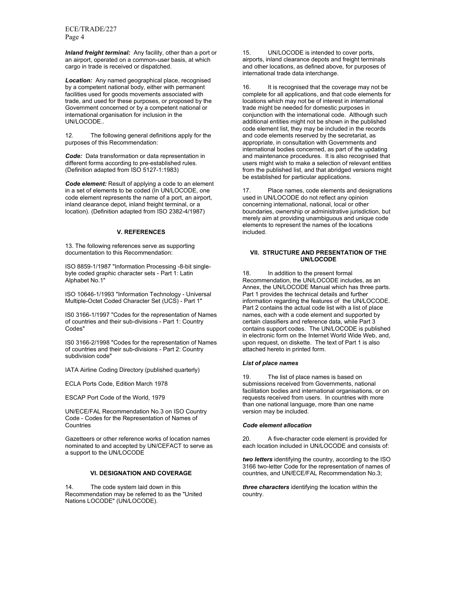ECE/TRADE/227 Page 4

*Inland freight terminal:* Any facility, other than a port or an airport, operated on a common-user basis, at which cargo in trade is received or dispatched.

*Location:* Any named geographical place, recognised by a competent national body, either with permanent facilities used for goods movements associated with trade, and used for these purposes, or proposed by the Government concerned or by a competent national or international organisation for inclusion in the UN/LOCODE..

12. The following general definitions apply for the purposes of this Recommendation:

*Code:* Data transformation or data representation in different forms according to pre-established rules. (Definition adapted from ISO 5127-1:1983)

*Code element:* Result of applying a code to an element in a set of elements to be coded (In UN/LOCODE, one code element represents the name of a port, an airport, inland clearance depot, inland freight terminal, or a location). (Definition adapted from ISO 2382-4/1987)

#### **V. REFERENCES**

13. The following references serve as supporting documentation to this Recommendation:

ISO 8859-1/1987 "Information Processing -8-bit singlebyte coded graphic character sets - Part 1: Latin Alphabet No.1"

ISO 10646-1/1993 "Information Technology - Universal Multiple-Octet Coded Character Set (UCS) - Part 1"

IS0 3166-1/1997 "Codes for the representation of Names of countries and their sub-divisions - Part 1: Country Codes"

IS0 3166-2/1998 "Codes for the representation of Names of countries and their sub-divisions - Part 2: Country subdivision code"

IATA Airline Coding Directory (published quarterly)

ECLA Ports Code, Edition March 1978

ESCAP Port Code of the World, 1979

UN/ECE/FAL Recommendation No.3 on ISO Country Code - Codes for the Representation of Names of **Countries** 

Gazetteers or other reference works of location names nominated to and accepted by UN/CEFACT to serve as a support to the UN/LOCODE

#### **VI. DESIGNATION AND COVERAGE**

14. The code system laid down in this Recommendation may be referred to as the "United Nations LOCODE" (UN/LOCODE).

15. UN/LOCODE is intended to cover ports, airports, inland clearance depots and freight terminals and other locations, as defined above, for purposes of international trade data interchange.

16. It is recognised that the coverage may not be complete for all applications, and that code elements for locations which may not be of interest in international trade might be needed for domestic purposes in conjunction with the international code. Although such additional entities might not be shown in the published code element list, they may be included in the records and code elements reserved by the secretariat, as appropriate, in consultation with Governments and international bodies concerned, as part of the updating and maintenance procedures. It is also recognised that users might wish to make a selection of relevant entities from the published list, and that abridged versions might be established for particular applications.

17. Place names, code elements and designations used in UN/LOCODE do not reflect any opinion concerning international, national, local or other boundaries, ownership or administrative jurisdiction, but merely aim at providing unambiguous and unique code elements to represent the names of the locations included.

#### **VII. STRUCTURE AND PRESENTATION OF THE UN/LOCODE**

18. In addition to the present formal Recommendation, the UN/LOCODE includes, as an Annex, the UN/LOCODE Manual which has three parts. Part 1 provides the technical details and further information regarding the features of the UN/LOCODE. Part 2 contains the actual code list with a list of place names, each with a code element and supported by certain classifiers and reference data, while Part 3 contains support codes. The UN/LOCODE is published in electronic form on the Internet World Wide Web, and, upon request, on diskette. The text of Part 1 is also attached hereto in printed form.

#### *List of place names*

19. The list of place names is based on submissions received from Governments, national facilitation bodies and international organisations, or on requests received from users. In countries with more than one national language, more than one name version may be included.

#### *Code element allocation*

20. A five-character code element is provided for each location included in UN/LOCODE and consists of:

*two letters* identifying the country, according to the ISO 3166 two-letter Code for the representation of names of countries, and UN/ECE/FAL Recommendation No.3;

*three characters* identifying the location within the country.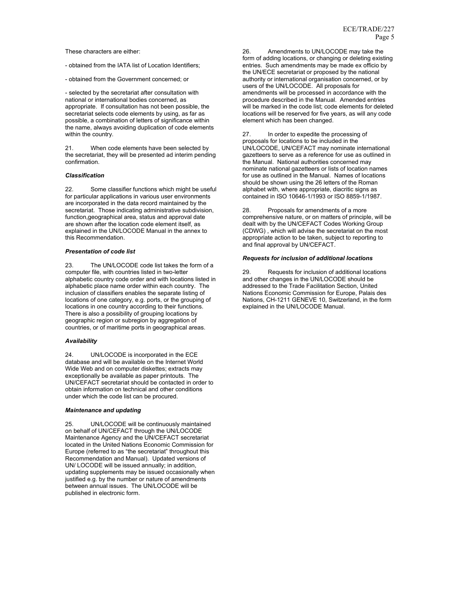These characters are either:

- obtained from the IATA list of Location Identifiers;

- obtained from the Government concerned; or

- selected by the secretariat after consultation with national or international bodies concerned, as appropriate. If consultation has not been possible, the secretariat selects code elements by using, as far as possible, a combination of letters of significance within the name, always avoiding duplication of code elements within the country.

21. When code elements have been selected by the secretariat, they will be presented ad interim pending confirmation.

#### *Classification*

22. Some classifier functions which might be useful for particular applications in various user environments are incorporated in the data record maintained by the secretariat. Those indicating administrative subdivision, function,geographical area, status and approval date are shown after the location code element itself, as explained in the UN/LOCODE Manual in the annex to this Recommendation.

#### *Presentation of code list*

The UN/LOCODE code list takes the form of a computer file, with countries listed in two-letter alphabetic country code order and with locations listed in alphabetic place name order within each country. The inclusion of classifiers enables the separate listing of locations of one category, e.g. ports, or the grouping of locations in one country according to their functions. There is also a possibility of grouping locations by geographic region or subregion by aggregation of countries, or of maritime ports in geographical areas.

#### *Availability*

24. UN/LOCODE is incorporated in the ECE database and will be available on the Internet World Wide Web and on computer diskettes; extracts may exceptionally be available as paper printouts. The UN/CEFACT secretariat should be contacted in order to obtain information on technical and other conditions under which the code list can be procured.

#### *Maintenance and updating*

25. UN/LOCODE will be continuously maintained on behalf of UN/CEFACT through the UN/LOCODE Maintenance Agency and the UN/CEFACT secretariat located in the United Nations Economic Commission for Europe (referred to as "the secretariat" throughout this Recommendation and Manual). Updated versions of UN/ LOCODE will be issued annually; in addition, updating supplements may be issued occasionally when justified e.g. by the number or nature of amendments between annual issues. The UN/LOCODE will be published in electronic form.

26. Amendments to UN/LOCODE may take the form of adding locations, or changing or deleting existing entries. Such amendments may be made ex officio by the UN/ECE secretariat or proposed by the national authority or international organisation concerned, or by users of the UN/LOCODE. All proposals for amendments will be processed in accordance with the procedure described in the Manual. Amended entries will be marked in the code list; code elements for deleted locations will be reserved for five years, as will any code element which has been changed.

27. In order to expedite the processing of proposals for locations to be included in the UN/LOCODE, UN/CEFACT may nominate international gazetteers to serve as a reference for use as outlined in the Manual. National authorities concerned may nominate national gazetteers or lists of location names for use as outlined in the Manual. Names of locations should be shown using the 26 letters of the Roman alphabet with, where appropriate, diacritic signs as contained in ISO 10646-1/1993 or ISO 8859-1/1987.

28. Proposals for amendments of a more comprehensive nature, or on matters of principle, will be dealt with by the UN/CEFACT Codes Working Group (CDWG) , which will advise the secretariat on the most appropriate action to be taken, subject to reporting to and final approval by UN/CEFACT.

#### *Requests for inclusion of additional locations*

29. Requests for inclusion of additional locations and other changes in the UN/LOCODE should be addressed to the Trade Facilitation Section, United Nations Economic Commission for Europe, Palais des Nations, CH-1211 GENEVE 10, Switzerland, in the form explained in the UN/LOCODE Manual.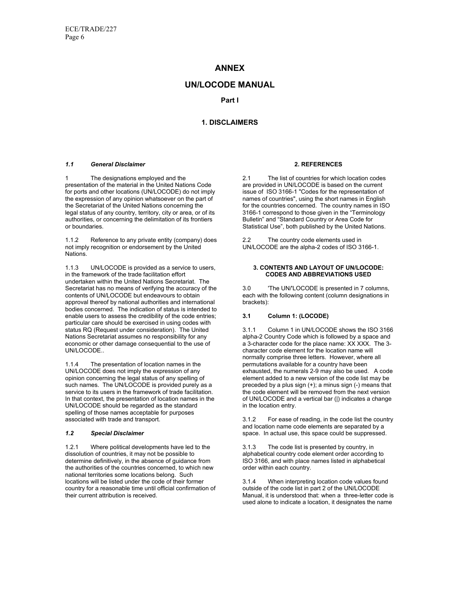# **ANNEX**

# **UN/LOCODE MANUAL**

**Part I** 

# **1. DISCLAIMERS**

#### *1.1 General Disclaimer*

1 The designations employed and the presentation of the material in the United Nations Code for ports and other locations (UN/LOCODE) do not imply the expression of any opinion whatsoever on the part of the Secretariat of the United Nations concerning the legal status of any country, territory, city or area, or of its authorities, or concerning the delimitation of its frontiers or boundaries.

1.1.2 Reference to any private entity (company) does not imply recognition or endorsement by the United Nations.

1.1.3 UN/LOCODE is provided as a service to users, in the framework of the trade facilitation effort undertaken within the United Nations Secretariat. The Secretariat has no means of verifying the accuracy of the contents of UN/LOCODE but endeavours to obtain approval thereof by national authorities and international bodies concerned. The indication of status is intended to enable users to assess the credibility of the code entries; particular care should be exercised in using codes with status RQ (Request under consideration). The United Nations Secretariat assumes no responsibility for any economic or other damage consequential to the use of UN/LOCODE..

1.1.4 The presentation of location names in the UN/LOCODE does not imply the expression of any opinion concerning the legal status of any spelling of such names. The UN/LOCODE is provided purely as a service to its users in the framework of trade facilitation. In that context, the presentation of location names in the UN/LOCODE should be regarded as the standard spelling of those names acceptable for purposes associated with trade and transport.

## *1.2 Special Disclaimer*

1.2.1 Where political developments have led to the dissolution of countries, it may not be possible to determine definitively, in the absence of guidance from the authorities of the countries concerned, to which new national territories some locations belong. Such locations will be listed under the code of their former country for a reasonable time until official confirmation of their current attribution is received.

#### **2. REFERENCES**

2.1 The list of countries for which location codes are provided in UN/LOCODE is based on the current issue of ISO 3166-1 "Codes for the representation of names of countries", using the short names in English for the countries concerned. The country names in ISO 3166-1 correspond to those given in the "Terminology Bulletin" and "Standard Country or Area Code for Statistical Use", both published by the United Nations.

2.2 The country code elements used in UN/LOCODE are the alpha-2 codes of ISO 3166-1.

#### **3. CONTENTS AND LAYOUT OF UN/LOCODE: CODES AND ABBREVIATIONS USED**

3.0 'The UN/'LOCODE is presented in 7 columns, each with the following content (column designations in brackets):

## **3.1 Column 1: (LOCODE)**

3.1.1 Column 1 in UN/LOCODE shows the ISO 3166 alpha-2 Country Code which is followed by a space and a 3-character code for the place name: XX XXX. The 3 character code element for the location name will normally comprise three letters. However, where all permutations available for a country have been exhausted, the numerals 2-9 may also be used. A code element added to a new version of the code list may be preceded by a plus sign (+); a minus sign (-) means that the code element will be removed from the next version of UN/LOCODE and a vertical bar (|) indicates a change in the location entry.

3.1.2 For ease of reading, in the code list the country and location name code elements are separated by a space. In actual use, this space could be suppressed.

3.1.3 The code list is presented by country, in alphabetical country code element order according to ISO 3166, and with place names listed in alphabetical order within each country.

3.1.4 When interpreting location code values found outside of the code list in part 2 of the UN/LOCODE Manual, it is understood that: when a three-letter code is used alone to indicate a location, it designates the name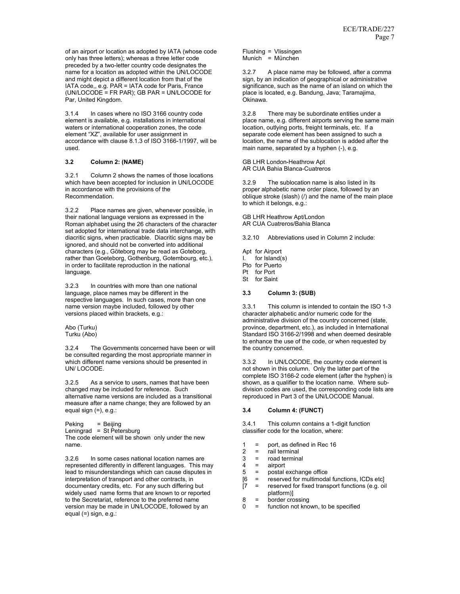of an airport or location as adopted by IATA (whose code only has three letters); whereas a three letter code preceded by a two-letter country code designates the name for a location as adopted within the UN/LOCODE and might depict a different location from that of the IATA code,, e.g. PAR = IATA code for Paris, France (UN/LOCODE = FR PAR); GB PAR = UN/LOCODE for Par, United Kingdom.

3.1.4 In cases where no ISO 3166 country code element is available, e.g. installations in international waters or international cooperation zones, the code element "XZ", available for user assignment in accordance with clause 8.1.3 of ISO 3166-1/1997, will be used.

#### **3.2 Column 2: (NAME)**

3.2.1 Column 2 shows the names of those locations which have been accepted for inclusion in UN/LOCODE in accordance with the provisions of the Recommendation.

3.2.2 Place names are given, whenever possible, in their national language versions as expressed in the Roman alphabet using the 26 characters of the character set adopted for international trade data interchange, with diacritic signs, when practicable. Diacritic signs may be ignored, and should not be converted into additional characters (e.g., Göteborg may be read as Goteborg, rather than Goeteborg, Gothenburg, Gotembourg, etc.), in order to facilitate reproduction in the national language.

3.2.3 In countries with more than one national language, place names may be different in the respective languages. In such cases, more than one name version maybe included, followed by other versions placed within brackets, e.g.:

Abo (Turku) Turku (Abo)

3.2.4 The Governments concerned have been or will be consulted regarding the most appropriate manner in which different name versions should be presented in UN/ LOCODE.

3.2.5 As a service to users, names that have been changed may be included for reference. Such alternative name versions are included as a transitional measure after a name change; they are followed by an equal sign (=), e.g.:

Peking = Beijing Leningrad = St Petersburg

The code element will be shown only under the new name.

3.2.6 In some cases national location names are represented differently in different languages. This may lead to misunderstandings which can cause disputes in interpretation of transport and other contracts, in documentary credits, etc. For any such differing but widely used name forms that are known to or reported to the Secretariat, reference to the preferred name version may be made in UN/LOCODE, followed by an equal (=) sign, e.g.:

Flushing = Vlissingen Munich = München

3.2.7 A place name may be followed, after a comma sign, by an indication of geographical or administrative significance, such as the name of an island on which the place is located, e.g. Bandung, Java; Taramajima, Okinawa.

3.2.8 There may be subordinate entities under a place name, e.g. different airports serving the same main location, outlying ports, freight terminals, etc. If a separate code element has been assigned to such a location, the name of the sublocation is added after the main name, separated by a hyphen (-), e.g.

GB LHR London-Heathrow Apt AR CUA Bahia Blanca-Cuatreros

3.2.9 The sublocation name is also listed in its proper alphabetic name order place, followed by an oblique stroke (slash) (/) and the name of the main place to which it belongs, e.g.:

GB LHR Heathrow Apt/London AR CUA Cuatreros/Bahia Blanca

3.2.10 Abbreviations used in Column 2 include:

Apt for Airport I. for Island(s) Pto for Puerto Pt for Port

St for Saint

#### **3.3 Column 3: (SUB)**

3.3.1 This column is intended to contain the ISO 1-3 character alphabetic and/or numeric code for the administrative division of the country concerned (state, province, department, etc.), as included in International Standard ISO 3166-2/1998 and when deemed desirable to enhance the use of the code, or when requested by the country concerned.

3.3.2 In UN/LOCODE, the country code element is not shown in this column. Only the latter part of the complete ISO 3166-2 code element (after the hyphen) is shown, as a qualifier to the location name. Where subdivision codes are used, the corresponding code lists are reproduced in Part 3 of the UN/LOCODE Manual.

## **3.4 Column 4: (FUNCT)**

3.4.1 This column contains a 1-digit function classifier code for the location, where:

- 1 = port, as defined in Rec 16
- 2 = rail terminal
- 3 = road terminal
- 
- $4 =$ airport<br> $5 =$ postal postal exchange office
- $[6 =$  reserved for multimodal functions, ICDs etc]<br> $[7 =$  reserved for fixed transport functions (e.g. oil
- [7 = reserved for fixed transport functions (e.g. oil platform)]
- $8 =$  border crossing
- 0 = function not known, to be specified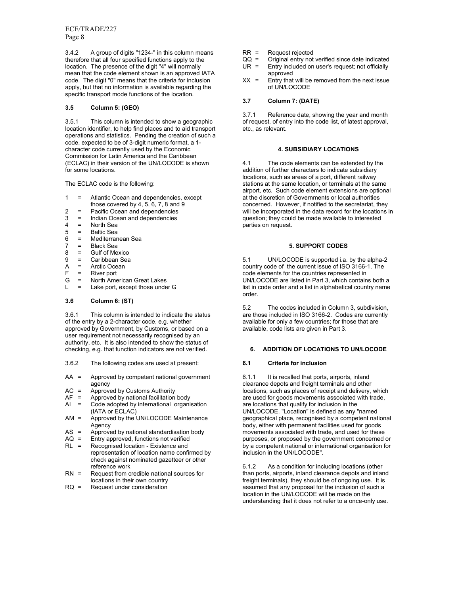ECE/TRADE/227 Page 8

3.4.2 A group of digits "1234-" in this column means therefore that all four specified functions apply to the location. The presence of the digit "4" will normally mean that the code element shown is an approved IATA code. The digit "0" means that the criteria for inclusion apply, but that no information is available regarding the specific transport mode functions of the location.

#### **3.5 Column 5: (GEO)**

3.5.1 This column is intended to show a geographic location identifier, to help find places and to aid transport operations and statistics. Pending the creation of such a code, expected to be of 3-digit numeric format, a 1 character code currently used by the Economic Commission for Latin America and the Caribbean (ECLAC) in their version of the UN/LOCODE is shown for some locations.

The ECLAC code is the following:

- 1 = Atlantic Ocean and dependencies, except those covered by 4, 5, 6, 7, 8 and 9
- 
- 2 = Pacific Ocean and dependencies<br>3 = Indian Ocean and dependencies  $=$  Indian Ocean and dependencies
- $4 =$  North Sea<br> $5 =$  Baltic Sea
- Baltic Sea
- 6 = Mediterranean Sea
- 7 = Black Sea
- $8 =$  Gulf of Mexico<br> $9 =$  Caribbean Sea
- Caribbean Sea
- A = Arctic Ocean<br>F = River port
- = River port
- G = North American Great Lakes
- $L =$  Lake port, except those under G

# **3.6 Column 6: (ST)**

3.6.1 This column is intended to indicate the status of the entry by a 2-character code, e.g. whether approved by Government, by Customs, or based on a user requirement not necessarily recognised by an authority, etc. It is also intended to show the status of checking, e.g. that function indicators are not verified.

- 3.6.2 The following codes are used at present:
- AA = Approved by competent national government agency
- AC = Approved by Customs Authority
- $AF =$  Approved by national facilitation body<br>Al  $=$  Code adopted by international organi
- Code adopted by international organisation (IATA or ECLAC)
- $AM =$  Approved by the UN/LOCODE Maintenance Agency
- AS = Approved by national standardisation body
- $AQ =$  Entry approved, functions not verified<br> $RL =$  Recognised location Existence and
- Recognised location Existence and representation of location name confirmed by check against nominated gazetteer or other reference work
- RN = Request from credible national sources for locations in their own country
- RQ = Request under consideration
- $RR =$  Request rejected<br> $QQ =$  Original entry not
- $QQ =$  Original entry not verified since date indicated UR = Entry included on user's request; not officially Entry included on user's request; not officially approved
- $XX =$  Entry that will be removed from the next issue of UN/LOCODE

## **3.7 Column 7: (DATE)**

3.7.1 Reference date, showing the year and month of request, of entry into the code list, of latest approval, etc., as relevant.

#### **4. SUBSIDIARY LOCATIONS**

4.1 The code elements can be extended by the addition of further characters to indicate subsidiary locations, such as areas of a port, different railway stations at the same location, or terminals at the same airport, etc. Such code element extensions are optional at the discretion of Governments or local authorities concerned. However, if notified to the secretariat, they will be incorporated in the data record for the locations in question; they could be made available to interested parties on request.

#### **5. SUPPORT CODES**

5.1 UN/LOCODE is supported i.a. by the alpha-2 country code of the current issue of ISO 3166-1. The code elements for the countries represented in UN/LOCODE are listed in Part 3, which contains both a list in code order and a list in alphabetical country name order.

5.2 The codes included in Column 3, subdivision, are those included in ISO 3166-2. Codes are currently available for only a few countries; for those that are available, code lists are given in Part 3.

## **6. ADDITION OF LOCATIONS TO UN/LOCODE**

## **6.1 Criteria for inclusion**

6.1.1 It is recalled that ports, airports, inland clearance depots and freight terminals and other locations, such as places of receipt and delivery, which are used for goods movements associated with trade, are locations that qualify for inclusion in the UN/LOCODE. "Location" is defined as any "named geographical place, recognised by a competent national body, either with permanent facilities used for goods movements associated with trade, and used for these purposes, or proposed by the government concerned or by a competent national or international organisation for inclusion in the UN/LOCODE".

6.1.2 As a condition for including locations (other than ports, airports, inland clearance depots and inland freight terminals), they should be of ongoing use. It is assumed that any proposal for the inclusion of such a location in the UN/LOCODE will be made on the understanding that it does not refer to a once-only use.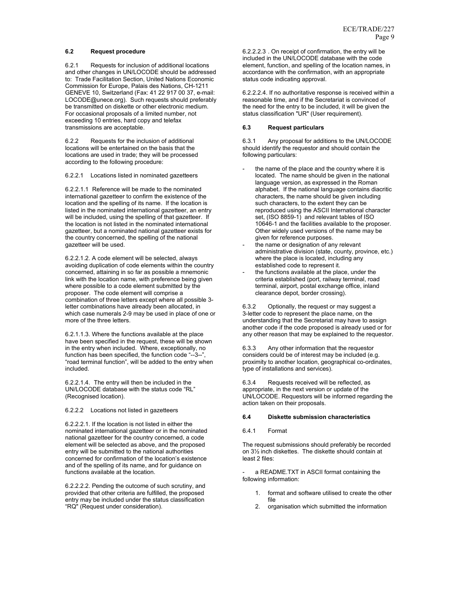#### **6.2 Request procedure**

6.2.1 Requests for inclusion of additional locations and other changes in UN/LOCODE should be addressed to: Trade Facilitation Section, United Nations Economic Commission for Europe, Palais des Nations, CH-1211 GENEVE 10, Switzerland (Fax: 41 22 917 00 37, e-mail: LOCODE@unece.org). Such requests should preferably be transmitted on diskette or other electronic medium. For occasional proposals of a limited number, not exceeding 10 entries, hard copy and telefax transmissions are acceptable.

6.2.2 Requests for the inclusion of additional locations will be entertained on the basis that the locations are used in trade; they will be processed according to the following procedure:

6.2.2.1 Locations listed in nominated gazetteers

6.2.2.1.1 Reference will be made to the nominated international gazetteer to confirm the existence of the location and the spelling of its name. If the location is listed in the nominated international gazetteer, an entry will be included, using the spelling of that gazetteer. If the location is not listed in the nominated international gazetteer, but a nominated national gazetteer exists for the country concerned, the spelling of the national gazetteer will be used.

6.2.2.1.2. A code element will be selected, always avoiding duplication of code elements within the country concerned, attaining in so far as possible a mnemonic link with the location name, with preference being given where possible to a code element submitted by the proposer. The code element will comprise a combination of three letters except where all possible 3 letter combinations have already been allocated, in which case numerals 2-9 may be used in place of one or more of the three letters.

6.2.1.1.3. Where the functions available at the place have been specified in the request, these will be shown in the entry when included. Where, exceptionally, no function has been specified, the function code "--3--", "road terminal function", will be added to the entry when included.

6.2.2.1.4. The entry will then be included in the UN/LOCODE database with the status code "RL" (Recognised location).

#### 6.2.2.2 Locations not listed in gazetteers

6.2.2.2.1. If the location is not listed in either the nominated international gazetteer or in the nominated national gazetteer for the country concerned, a code element will be selected as above, and the proposed entry will be submitted to the national authorities concerned for confirmation of the location's existence and of the spelling of its name, and for guidance on functions available at the location.

6.2.2.2.2. Pending the outcome of such scrutiny, and provided that other criteria are fulfilled, the proposed entry may be included under the status classification "RQ" (Request under consideration).

6.2.2.2.3 . On receipt of confirmation, the entry will be included in the UN/LOCODE database with the code element, function, and spelling of the location names, in accordance with the confirmation, with an appropriate status code indicating approval.

6.2.2.2.4. If no authoritative response is received within a reasonable time, and if the Secretariat is convinced of the need for the entry to be included, it will be given the status classification "UR" (User requirement).

## **6.3 Request particulars**

6.3.1 Any proposal for additions to the UN/LOCODE should identify the requestor and should contain the following particulars:

- the name of the place and the country where it is located. The name should be given in the national language version, as expressed in the Roman alphabet. If the national language contains diacritic characters, the name should be given including such characters, to the extent they can be reproduced using the ASCII International character set, (ISO 8859-1) and relevant tables of ISO 10646-1 and the facilities available to the proposer. Other widely used versions of the name may be given for reference purposes.
- the name or designation of any relevant administrative division (state, county, province, etc.) where the place is located, including any established code to represent it.
- the functions available at the place, under the criteria established (port, railway terminal, road terminal, airport, postal exchange office, inland clearance depot, border crossing).

6.3.2 Optionally, the request or may suggest a 3-letter code to represent the place name, on the understanding that the Secretariat may have to assign another code if the code proposed is already used or for any other reason that may be explained to the requestor.

6.3.3 Any other information that the requestor considers could be of interest may be included (e.g. proximity to another location, geographical co-ordinates, type of installations and services).

6.3.4 Requests received will be reflected, as appropriate, in the next version or update of the UN/LOCODE. Requestors will be informed regarding the action taken on their proposals.

# **6.4 Diskette submission characteristics**

## 6.4.1 Format

The request submissions should preferably be recorded on 3½ inch diskettes. The diskette should contain at least 2 files:

a README.TXT in ASCII format containing the following information:

- 1. format and software utilised to create the other file
- 2. organisation which submitted the information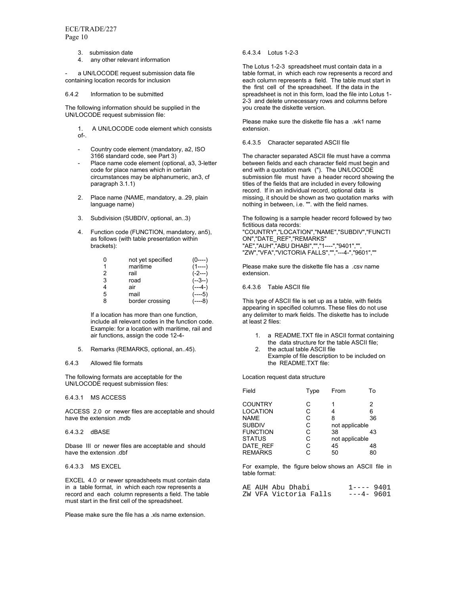- 3. submission date
- 4. any other relevant information

a UN/LOCODE request submission data file containing location records for inclusion

6.4.2 Information to be submitted

The following information should be supplied in the UN/LOCODE request submission file:

- 1. A UN/LOCODE code element which consists of-.
- Country code element (mandatory, a2, ISO 3166 standard code, see Part 3)
- Place name code element (optional, a3, 3-letter code for place names which in certain circumstances may be alphanumeric, an3, cf paragraph 3.1.1)
- 2. Place name (NAME, mandatory, a..29, plain language name)
- 3. Subdivision (SUBDIV, optional, an..3)
- 4. Function code (FUNCTION, mandatory, an5), as follows (with table presentation within brackets):

|   | not yet specified | ()----)   |
|---|-------------------|-----------|
|   | maritime          | $(1---)$  |
| 2 | rail              | $(-2---)$ |
| 3 | road              | $(-3-)$   |
|   | air               | (---4-)   |
| 5 | mail              | $(---5)$  |
| 8 | border crossing   |           |

If a location has more than one function, include all relevant codes in the function code. Example: for a location with maritime, rail and air functions, assign the code 12-4-

5. Remarks (REMARKS, optional, an..45).

#### 6.4.3 Allowed file formats

The following formats are acceptable for the UN/LOCODE request submission files:

6.4.3.1 MS ACCESS

ACCESS 2.0 or newer files are acceptable and should have the extension .mdb

6.4.3.2 dBASE

Dbase III or newer files are acceptable and should have the extension .dbf

6.4.3.3 MS EXCEL

EXCEL 4.0 or newer spreadsheets must contain data in a table format, in which each row represents a record and each column represents a field. The table must start in the first cell of the spreadsheet.

Please make sure the file has a .xls name extension.

#### 6.4.3.4 Lotus 1-2-3

The Lotus 1-2-3 spreadsheet must contain data in a table format, in which each row represents a record and each column represents a field. The table must start in the first cell of the spreadsheet. If the data in the spreadsheet is not in this form, load the file into Lotus 1- 2-3 and delete unnecessary rows and columns before you create the diskette version.

Please make sure the diskette file has a .wk1 name extension.

#### 6.4.3.5 Character separated ASCII file

The character separated ASCII file must have a comma between fields and each character field must begin and end with a quotation mark ("). The UN/LOCODE submission file must have  $a$  header record showing the titles of the fields that are included in every following record. If in an individual record, optional data is missing, it should be shown as two quotation marks with nothing in between, i.e. "". with the field names.

The following is a sample header record followed by two fictitious data records: "COUNTRY","LOCATION","NAME","SUBDIV","FUNCTI ON","DATE\_REF","REMARKS" "AE","AUH","ABU DHABI","","1----","9401","", "ZW","VFA","VICTORIA FALLS","","---4-","9601",""

Please make sure the diskette file has a .csv name extension.

#### 6.4.3.6 Table ASCII file

This type of ASCII file is set up as a table, with fields appearing in specified columns. These files do not use any delimiter to mark fields. The diskette has to include at least 2 files:

- 1. a README.TXT file in ASCII format containing the data structure for the table ASCII file; 2. the actual table ASCII file
- Example of file description to be included on the README.TXT file:

Location request data structure

| Field           | Type | From           | To |
|-----------------|------|----------------|----|
| <b>COUNTRY</b>  | С    | 1              | 2  |
| <b>LOCATION</b> | С    | 4              | 6  |
| <b>NAME</b>     | C    | 8              | 36 |
| <b>SUBDIV</b>   | C    | not applicable |    |
| <b>FUNCTION</b> | C    | 38             | 43 |
| <b>STATUS</b>   | C    | not applicable |    |
| DATE REF        | С    | 45             | 48 |
| <b>REMARKS</b>  | r.   | 50             | 80 |

For example, the figure below shows an ASCII file in table format:

|  | AE AUH Abu Dhabi      | $1---9401$  |  |
|--|-----------------------|-------------|--|
|  | ZW VFA Victoria Falls | $---4-9601$ |  |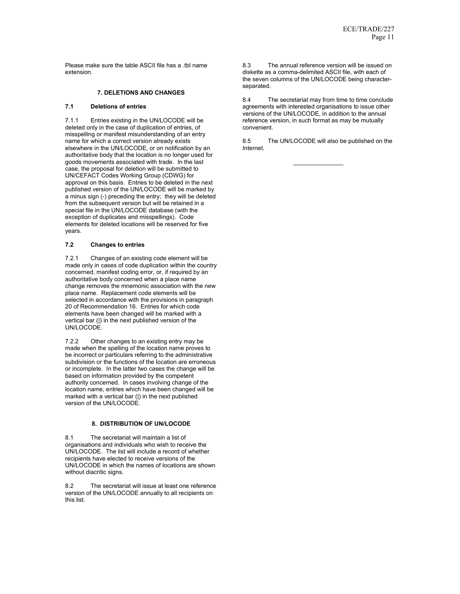Please make sure the table ASCII file has a .tbl name extension.

## **7. DELETIONS AND CHANGES**

## **7.1 Deletions of entries**

7.1.1 Entries existing in the UN/LOCODE will be deleted only in the case of duplication of entries, of misspelling or manifest misunderstanding of an entry name for which a correct version already exists elsewhere in the UN/LOCODE, or on notification by an authoritative body that the location is no longer used for goods movements associated with trade. In the last case, the proposal for deletion will be submitted to UN/CEFACT Codes Working Group (CDWG) for approval on this basis. Entries to be deleted in the next published version of the UN/LOCODE will be marked by a minus sign (-) preceding the entry; they will be deleted from the subsequent version but will be retained in a special file in the UN/LOCODE database (with the exception of duplicates and misspellings). Code elements for deleted locations will be reserved for five years.

## **7.2 Changes to entries**

7.2.1 Changes of an existing code element will be made only in cases of code duplication within the country concerned, manifest coding error, or, if required by an authoritative body concerned when a place name change removes the mnemonic association with the new place name. Replacement code elements will be selected in accordance with the provisions in paragraph 20 of Recommendation 16. Entries for which code elements have been changed will be marked with a vertical bar (|) in the next published version of the UN/LOCODE.

7.2.2 Other changes to an existing entry may be made when the spelling of the location name proves to be incorrect or particulars referring to the administrative subdivision or the functions of the location are erroneous or incomplete. In the latter two cases the change will be based on information provided by the competent authority concerned. In cases involving change of the location name, entries which have been changed will be marked with a vertical bar (|) in the next published version of the UN/LOCODE.

## **8. DISTRIBUTION OF UN/LOCODE**

8.1 The secretariat will maintain a list of organisations and individuals who wish to receive the UN/LOCODE. The list will include a record of whether recipients have elected to receive versions of the UN/LOCODE in which the names of locations are shown without diacritic signs.

8.2 The secretariat will issue at least one reference version of the UN/LOCODE annually to all recipients on this list.

8.3 The annual reference version will be issued on diskette as a comma-delimited ASCII file, with each of the seven columns of the UN/LOCODE being characterseparated.

8.4 The secretariat may from time to time conclude agreements with interested organisations to issue other versions of the UN/LOCODE, in addition to the annual reference version, in such format as may be mutually convenient.

8.5 The UN/LOCODE will also be published on the Internet.

 $\overline{\phantom{a}}$  , where  $\overline{\phantom{a}}$